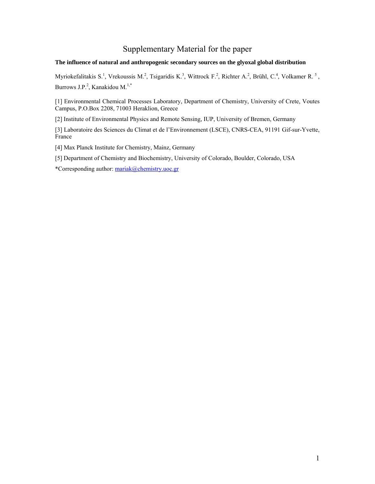# Supplementary Material for the paper

## **The influence of natural and anthropogenic secondary sources on the glyoxal global distribution**

Myriokefalitakis S.<sup>1</sup>, Vrekoussis M.<sup>2</sup>, Tsigaridis K.<sup>3</sup>, Wittrock F.<sup>2</sup>, Richter A.<sup>2</sup>, Brühl, C.<sup>4</sup>, Volkamer R.<sup>5</sup>, Burrows J.P.<sup>2</sup>, Kanakidou M.<sup>1,\*</sup>

[1] Environmental Chemical Processes Laboratory, Department of Chemistry, University of Crete, Voutes Campus, P.O.Box 2208, 71003 Heraklion, Greece

[2] Institute of Environmental Physics and Remote Sensing, IUP, University of Bremen, Germany

[3] Laboratoire des Sciences du Climat et de l'Environnement (LSCE), CNRS-CEA, 91191 Gif-sur-Yvette, France

[4] Max Planck Institute for Chemistry, Mainz, Germany

[5] Department of Chemistry and Biochemistry, University of Colorado, Boulder, Colorado, USA

\*Corresponding author: [mariak@chemistry.uoc.gr](mailto:mariak@chemistry.uoc.gr)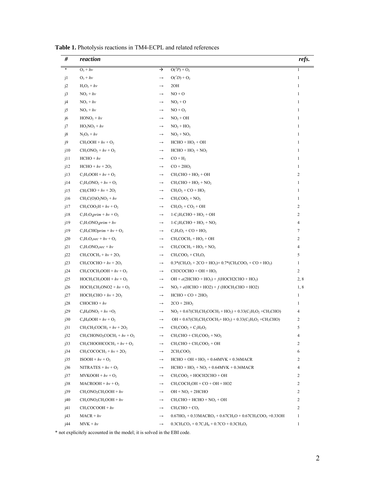| #      | reaction                                                  |                   |                                                                                                                                                                | refs.          |
|--------|-----------------------------------------------------------|-------------------|----------------------------------------------------------------------------------------------------------------------------------------------------------------|----------------|
| $\ast$ | $O_3 + hv$                                                | $\rightarrow$     | $O(^3P) + O_2$                                                                                                                                                 | $\mathbf{1}$   |
| j1     | $O_3 + hv$                                                | $\rightarrow$     | $O(^{I}D) + O_2$                                                                                                                                               | $\mathbf{1}$   |
| j2     | $H_2O_2 + hv$                                             | $\longrightarrow$ | 2OH                                                                                                                                                            | $\mathbf{1}$   |
| j3     | $NO2 + hv$                                                | $\longrightarrow$ | $NO + O$                                                                                                                                                       | $\mathbf{1}$   |
| j4     | $NO_3 + hv$                                               | $\rightarrow$     | $NO2 + O$                                                                                                                                                      | $\mathbf{1}$   |
| j5     | $NO_3 + hv$                                               | $\rightarrow$     | $NO + O2$                                                                                                                                                      | $\mathbf{1}$   |
| j6     | $HONO2 + hv$                                              | $\longrightarrow$ | $NO2 + OH$                                                                                                                                                     | 1              |
| j7     | $HO_2NO_2 + hv$                                           | $\longrightarrow$ | $NO2 + HO2$                                                                                                                                                    | $\mathbf{1}$   |
| j8     | $N_2O_5 + hv$                                             | $\longrightarrow$ | $NO2 + NO3$                                                                                                                                                    | $\mathbf{1}$   |
| j9     | $CH_3OOH + hv + O_2$                                      | $\longrightarrow$ | $HCHO + HO2 + OH$                                                                                                                                              | $\mathbf{1}$   |
| j10    | $CH3ONO2 + hv + O2$                                       | $\longrightarrow$ | $HCHO + HO2 + NO2$                                                                                                                                             | $\mathbf{1}$   |
| j11    | $HCHO + hv$                                               | $\longrightarrow$ | $CO + H2$                                                                                                                                                      | 1              |
| j12    | $HCHO + hv + 2O2$                                         | $\longrightarrow$ | $CO + 2HO2$                                                                                                                                                    | $\mathbf{1}$   |
| j13    | $C_2H_5OOH + hv + O_2$                                    | $\longrightarrow$ | $CH3CHO + HO2 + OH$                                                                                                                                            | $\overline{c}$ |
| j14    | $C_2H_5ONO_2 + hv + O_2$                                  | $\rightarrow$     | $CH3CHO + HO2 + NO2$                                                                                                                                           | $\mathbf{1}$   |
| j15    | $CH_3CHO + hv + 2O_2$                                     | $\longrightarrow$ | $CH3O2 + CO + HO2$                                                                                                                                             | $\mathbf{1}$   |
| j16    | $CH_3C(O)O_2NO_2 + hv$                                    | $\longrightarrow$ | $CH3COO2 + NO2$                                                                                                                                                | $\mathbf{1}$   |
| j17    | $CH_3COO_2H + hv + O_2$                                   | $\longrightarrow$ | $CH_3O_2$ + $CO_2$ + OH                                                                                                                                        | $\overline{c}$ |
| j18    | $C_3H_7O_2prim + hv + O_2$                                | $\longrightarrow$ | $1-C2H5CHO + HO2 + OH$                                                                                                                                         | $\overline{c}$ |
| j19    | $C_3H_7ONO_2prim + hv$                                    | $\longrightarrow$ | $1-C_2H_5CHO + HO_2 + NO_2$                                                                                                                                    | 4              |
| j19    | $C_2H_5CHOptim + hv + O_2$                                | $\longrightarrow$ | $C_2H_5O_2$ + CO + HO <sub>2</sub>                                                                                                                             | 7              |
| j20    | $C_3H_7O_2sec + hv + O_2$                                 | $\longrightarrow$ | $CH3COCH3 + HO2 + OH$                                                                                                                                          | $\overline{c}$ |
| j21    | $C_3H_7ONO_2sec + hv$                                     | $\longrightarrow$ | $CH3COCH3 + HO2 + NO2$                                                                                                                                         | 4              |
| j22    | $CH_3COCH_3 + hv + 2O_2$                                  | $\longrightarrow$ | $CH3COO2 + CH3O2$                                                                                                                                              | 5              |
| j23    | $CH_3COCHO + hv + 2O_2$                                   | $\longrightarrow$ | $0.3*(CH_3O_2 + 2CO + HO_2) + 0.7*(CH_3COO_2 + CO + HO_2)$                                                                                                     | $\mathbf{1}$   |
| j24    | $CH_3COCH_2OOH + hv + O_2$                                | $\longrightarrow$ | $CH3COCHO + OH + HO2$                                                                                                                                          | 2              |
| j25    | $HOCH2CH2OOH + hv + O2$                                   | $\longrightarrow$ | OH + $e(2HCHO + HO2) + f(HOCH2CHO + HO2)$                                                                                                                      | 2, 8           |
| j26    | $\text{HOCH}_2\text{CH}_2\text{ONO2} + h\nu + \text{O}_2$ | $\longrightarrow$ | $NO2 + e(HCHO + HO2) + f(HOCH2CHO + HO2)$                                                                                                                      | 1, 8           |
| j27    | $HOCH2CHO + hv + 2O2$                                     | $\longrightarrow$ | $HCHO + CO + 2HO2$                                                                                                                                             | $\mathbf{1}$   |
| j28    | $CHOCHO + hv$                                             | $\longrightarrow$ | $2CO + 2HO2$                                                                                                                                                   | $\mathbf{1}$   |
| j29    | $C_4H_9ONO_2 + hv + O_2$                                  | $\longrightarrow$ | $NO_2 + 0.67$ (CH <sub>3</sub> CH <sub>2</sub> COCH <sub>3</sub> + HO <sub>2</sub> ) + 0.33(C <sub>2</sub> H <sub>5</sub> O <sub>2</sub> +CH <sub>3</sub> CHO) | 4              |
| j30    | $C_4H_9OOH + hv + O_2$                                    | $\longrightarrow$ | OH + 0.67(CH <sub>3</sub> CH <sub>2</sub> COCH <sub>3</sub> + HO <sub>2</sub> ) + 0.33(C <sub>2</sub> H <sub>5</sub> O <sub>2</sub> +CH <sub>3</sub> CHO)      | 2              |
| j31    | $CH3CH2COCH3 + hv + 2O2$                                  | $\longrightarrow$ | $CH_3COO_2 + C_2H_5O_2$                                                                                                                                        | 5              |
| j32    | $CH_3CHONO_2COCH_3 + hv + O_2$                            | $\longrightarrow$ | $CH3CHO + CH3COO2 + NO2$                                                                                                                                       | 4              |
| j33    | $CH_3CHOOHCOCH_3 + hv + O_2$                              | $\longrightarrow$ | $CH_3CHO + CH_3COO_2 + OH$                                                                                                                                     | 2              |
| j34    | $CH_3COCOCH_3 + hv + 2O_2$                                | $\longrightarrow$ | 2CH <sub>3</sub> COO <sub>2</sub>                                                                                                                              | 6              |
| j35    | $ISOOH + hv + O2$                                         | $\longrightarrow$ | $HCHO + OH + HO2 + 0.64MVK + 0.36MACR$                                                                                                                         | 2              |
| j36    | NITRATES + $hv$ + $O_2$                                   | $\longrightarrow$ | $HCHO + HO2 + NO2 + 0.64MVK + 0.36MACR$                                                                                                                        | 4              |
| j37    | $MVKOOH + hv + O2$                                        | $\longrightarrow$ | $CH3COO2 + HOCH2CHO + OH$                                                                                                                                      | 2              |
| j38    | $MACROOH + hv + O2$                                       | $\rightarrow$     | $CH3COCH2OH + CO + OH + HO2$                                                                                                                                   | 2              |
| j39    | $CH2ONO2CH2OOH + hv$                                      | $\longrightarrow$ | $OH + NO2 + 2HCHO$                                                                                                                                             | 2              |
| j40    | $CH2ONO2CH2OOH + hv$                                      | $\longrightarrow$ | $CH3CHO + HCHO + NO2 + OH$                                                                                                                                     | 2              |
| j41    | $CH3COCOOH + hv$                                          | $\longrightarrow$ | $CH3CHO + CO2$                                                                                                                                                 | 2              |
| j43    | $MACR + hv$                                               | $\longrightarrow$ | $0.67HO_2 + 0.33MACRO_2 + 0.67CH_2O + 0.67CH_3COO_2 + 0.33OH$                                                                                                  | $\mathbf{1}$   |
| j44    | $MVK + hv$                                                | $\longrightarrow$ | $0.3CH_3CO_3 + 0.7C_3H_6 + 0.7CO + 0.3CH_3O_2$                                                                                                                 | $\mathbf{1}$   |

**Table 1.** Photolysis reactions in TM4-ECPL and related references

\* not explicitely accounted in the model; it is solved in the EBI code.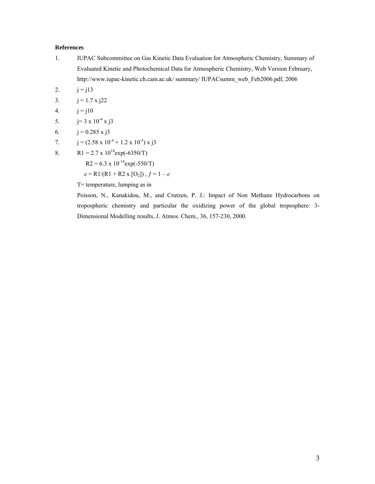## **References**

- 1. IUPAC Subcommittee on Gas Kinetic Data Evaluation for Atmospheric Chemistry, Summary of Evaluated Kinetic and Photochemical Data for Atmospheric Chemistry, Web Version February, http://www.iupac-kinetic.ch.cam.ac.uk/ summary/ IUPACsumm\_web\_Feb2006.pdf, 2006
- 2.  $j = j13$
- 3.  $j = 1.7 \times j22$
- 4.  $j = j10$
- 5.  $j=3 \times 10^{-4} \times j3$
- 6.  $j = 0.285 \times j3$
- 7.  $j = (2.58 \times 10^{-4} + 1.2 \times 10^{-5}) \times j3$
- 8. R1 = 2.7 x  $10^{14}$ exp(-6350/T)

 $R2 = 6.3 \times 10^{-14} \exp(-550/T)$ 

 $e = R1/(R1 + R2 \times [O_2])$ ,  $f = 1 - e$ 

T= temperature, lumping as in

Poisson, N., Kanakidou, M., and Crutzen, P. J.: Impact of Non Methane Hydrocarbons on tropospheric chemistry and particular the oxidizing power of the global troposphere: 3- Dimensional Modelling results, J. Atmos. Chem., 36, 157-230, 2000.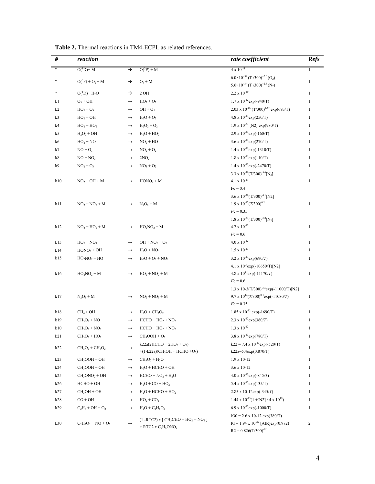| #              | reaction                      |                   |                                                                      | rate coefficient                                                              | <b>Refs</b>    |
|----------------|-------------------------------|-------------------|----------------------------------------------------------------------|-------------------------------------------------------------------------------|----------------|
| *              | $O(^{1}D)+M$                  | →                 | $O(^{3}P) + M$                                                       | $4 \times 10^{-11}$                                                           | $\mathbf{1}$   |
|                | $O(^3P) + O_2 + M$            | →                 | $O_3 + M$                                                            | $6.0\times10^{-34}$ (T /300) <sup>-2.6</sup> (O <sub>2</sub> )                | $\mathbf{1}$   |
|                |                               |                   |                                                                      | $5.6\times10^{-34} (T/300)^{-2.6} (N_2)$                                      |                |
| *              | $O(^1D)+H_2O$                 | →                 | 2 OH                                                                 | $2.2 \times 10^{-10}$                                                         | $\mathbf{1}$   |
| k1             | $O_3 + OH$                    | $\longrightarrow$ | $HO_2 + O_2$                                                         | $1.7 \times 10^{-12}$ exp(-940/T)                                             | $\mathbf{1}$   |
| k2             | $HO2 + O3$                    | $\rightarrow$     | $OH + O2$                                                            | 2.03 x 10 <sup>-16</sup> (T/300) <sup>4.57</sup> exp(693/T)                   | $\mathbf{1}$   |
| k <sub>3</sub> | $\mathrm{HO_2} + \mathrm{OH}$ | $\longrightarrow$ | $H_2O + O_2$                                                         | $4.8 \times 10^{-11}$ exp(250/T)                                              | $\mathbf{1}$   |
| k4             | $HO2 + HO2$                   | $\longrightarrow$ | $H_2O_2 + O_2$                                                       | 1.9 x 10 <sup>-33</sup> [N2] exp(980/T)                                       | $\mathbf{1}$   |
| k5             | $H_2O_2 + OH$                 | $\longrightarrow$ | $H_2O + HO_2$                                                        | $2.9 \times 10^{-12}$ exp(-160/T)                                             | $\mathbf{1}$   |
| k6             | $HO2 + NO$                    | $\longrightarrow$ | $NO2 + HO$                                                           | $3.6 \times 10^{-12}$ exp(270/T)                                              | $\mathbf{1}$   |
| k7             | $NO + O_3$                    | $\longrightarrow$ | $NO2 + O2$                                                           | $1.4 \times 10^{-12}$ exp(-1310/T)                                            | $\mathbf{1}$   |
| $\rm k8$       | $NO + NO3$                    | $\rightarrow$     | 2NO <sub>2</sub>                                                     | $1.8 \times 10^{-11}$ exp $(110/T)$                                           | $\mathbf{1}$   |
| k9             | $NO_2 + O_3$                  | $\rightarrow$     | $NO_3 + O_2$                                                         | $1.4 \times 10^{-13}$ exp(-2470/T)                                            | $\mathbf{1}$   |
|                |                               |                   |                                                                      | 3.3 x $10^{-30} (T/300)^{-3.0} [N_2]$                                         |                |
| k10            | $NO2 + OH + M$                | $\rightarrow$     | $HONO2 + M$                                                          | $4.1 \times 10^{-11}$                                                         | $\mathbf{1}$   |
|                |                               |                   |                                                                      | $Fc = 0.4$                                                                    |                |
|                |                               |                   |                                                                      | $3.6 \times 10^{-30} (T/300)^{-4.1} [N2]$                                     |                |
| k11            | $NO_2 + NO_3 + M$             |                   | $N_2O_5 + M$                                                         | $1.9 \times 10^{-12} (T/300)^{0.2}$                                           | $\mathbf{1}$   |
|                |                               |                   |                                                                      | $Fc = 0.35$                                                                   |                |
|                |                               |                   |                                                                      | $1.8$ x $10^{-31} (T/300)^{-3.2} [N_2]$<br>$4.7\,\mathrm{x}\,10^{\text{-}12}$ |                |
| k12            | $NO_2 + HO_2 + M$             |                   | $HO_2NO_2 + M$                                                       | $Fc = 0.6$                                                                    | $\mathbf{1}$   |
|                |                               |                   |                                                                      | $4.0 \times 10^{-12}$                                                         | $\mathbf{1}$   |
| k13<br>k14     | $HO_2 + NO_3$                 | $\rightarrow$     | $OH + NO2 + O2$                                                      | $1.5 \times 10^{-13}$                                                         | $\mathbf{1}$   |
|                | $HONO2 + OH$                  | $\rightarrow$     | $H_2O + NO_3$                                                        | $3.2 \times 10^{-13} \exp(690/T)$                                             |                |
| k15            | $HO_2NO_2 + HO$               |                   | $H_2O + O_2 + NO_2$                                                  | 4.1 x 10 <sup>-5</sup> exp(-10650/T)[N2]                                      | $\mathbf{1}$   |
| k16            | $HO_2NO_2 + M$                |                   | $HO_2 + NO_2 + M$                                                    | 4.8 x $10^{15}$ exp(-11170/T)                                                 | $\mathbf{1}$   |
|                |                               |                   |                                                                      | $Fc = 0.6$                                                                    |                |
|                |                               |                   |                                                                      | 1.3 x 10-3(T/300) <sup>-3.5</sup> exp(-11000/T)[N2]                           |                |
| k17            | $N_2O_5 + M$                  |                   | $NO_2 + NO_3 + M$                                                    | $9.7 \times 10^{14} (T/300)^{0.1} \exp(-11080/T)$                             | $\mathbf{1}$   |
|                |                               |                   |                                                                      | $Fc = 0.35$                                                                   |                |
| k18            | $CH_4 + OH$                   | $\rightarrow$     | $H_2O + CH_3O_2$                                                     | 1.85 x $10^{-12}$ exp(-1690/T)                                                | $\mathbf{1}$   |
| k19            | $CH3O2 + NO$                  | $\rightarrow$     | $HCHO + HO2 + NO2$                                                   | $2.3 \times 10^{-12}$ exp $(360/T)$                                           | $\mathbf{1}$   |
| k10            | $CH3O2 + NO3$                 | $\rightarrow$     | $HCHO + HO2 + NO2$                                                   | $1.3 \ge 10^{-12}$                                                            | -1             |
| k21            | $CH3O2 + HO2$                 | $\rightarrow$     | $CH3OOH + O2$                                                        | $3.8 \times 10^{-13} \exp(780/T)$                                             | 1              |
|                |                               |                   | $k22a(2HCHO + 2HO2 + O2)$                                            | $k22 = 7.4 \times 10^{-13} exp(-520/T)$                                       |                |
| k22            | $CH3O2 + CH3O2$               |                   | +(1-k22a)(CH <sub>3</sub> OH + HCHO +O <sub>2</sub> )                | $k22a=5.4exp(0.870/T)$                                                        | $\mathbf{1}$   |
| k23            | $CH3OOH + OH$                 | $\longrightarrow$ | $CH3O2 + H2O$                                                        | $1.9 \times 10 - 12$                                                          | $\mathbf{1}$   |
| k24            | $CH3OOH + OH$                 | $\longrightarrow$ | $H_2O$ + HCHO + OH                                                   | $3.6 \times 10 - 12$                                                          | $\mathbf{1}$   |
| k25            | $CH3ONO2 + OH$                | $\longrightarrow$ | $HCHO + NO2 + H2O$                                                   | $4.0 \times 10^{-13}$ exp(-845/T)                                             | 1              |
| k26            | $HCHO + OH$                   | $\longrightarrow$ | $H_2O$ + CO + HO <sub>2</sub>                                        | 5.4 x $10^{-12}$ exp $(135/T)$                                                | 1              |
| k27            | $CH_3OH + OH$                 | $\longrightarrow$ | $H_2O$ + HCHO + HO <sub>2</sub>                                      | $2.85 \times 10 - 12 \exp(-345/T)$                                            | $\mathbf{1}$   |
| k28            | $CO + OH$                     | $\longrightarrow$ | $HO_2 + CO_2$                                                        | $1.44 \times 10^{-13} (1 + [N2] / 4 \times 10^{19})$                          | $\mathbf{1}$   |
| k29            | $C_2H_6 + OH + O_2$           | $\longrightarrow$ | $H_2O + C_2H_5O_2$                                                   | 6.9 x $10^{-12}$ exp(-1000/T)                                                 | $\mathbf{1}$   |
|                |                               |                   |                                                                      | $k30 = 2.6 \times 10 - 12 \exp(380/T)$                                        |                |
| k30            | $C_2H_5O_2 + NO + O_2$        |                   | $(1 - RTC2)$ x $[CH_3CHO + HO_2 + NO_2]$<br>$+$ RTC2 x $C_2H_5ONO_2$ | R1= 1.94 x $10^{-22}$ [AIR]exp(0.972)                                         | $\overline{c}$ |
|                |                               |                   |                                                                      | $R2 = 0.826(T/300)^{-8.1}$                                                    |                |

| <b>Table 2.</b> Thermal reactions in TM4-ECPL as related references. |  |  |
|----------------------------------------------------------------------|--|--|
|----------------------------------------------------------------------|--|--|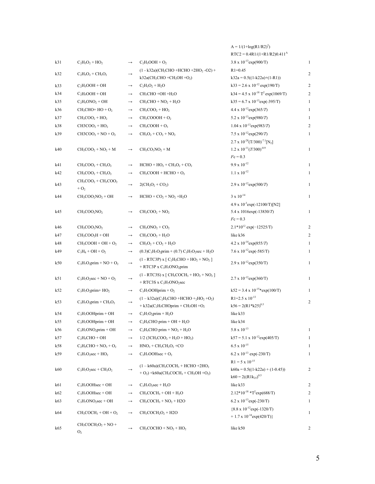|     |                                                  |                   |                                                                                                                                    | $A = 1/(1 + log(R1/R2)^{2})$                                            |                |
|-----|--------------------------------------------------|-------------------|------------------------------------------------------------------------------------------------------------------------------------|-------------------------------------------------------------------------|----------------|
|     |                                                  |                   |                                                                                                                                    | $RTC2 = 0.4R1/(1+R1/R2)0.411A$                                          |                |
| k31 | $C_2H_5O_2 + HO_2$                               | $\longrightarrow$ | $C_2H_5OOH + O_2$                                                                                                                  | $3.8 \times 10^{-13}$ exp(900/T)                                        | $\mathbf{1}$   |
| k32 | $C_2H_5O_2 + CH_3O_2$                            | $\longrightarrow$ | $(1 - k32a)(CH_3CHO + HCHO + 2HO_2 - O2) +$<br>$k32a$ (CH <sub>3</sub> CHO +CH <sub>3</sub> OH +O <sub>2</sub> )                   | $R1 = 0.45$<br>$k32a = 0.5((1-k22a)+(1-R1))$                            | $\overline{c}$ |
| k33 | $C_2H_5OOH + OH$                                 | $\longrightarrow$ | $C_2H_5O_2 + H_2O$                                                                                                                 | $k33 = 2.6 \times 10^{-12} \exp(190/T)$                                 | $\overline{c}$ |
| k34 | $C_2H_5OOH + OH$                                 | $\longrightarrow$ | $CH3CHO +OH +H2O$                                                                                                                  | $k34 = 4.5 \times 10^{-18}$ T <sup>2</sup> exp(1069/T)                  | $\overline{2}$ |
| k35 | $C_2H_5ONO_2 + OH$                               | $\longrightarrow$ | $CH3CHO + NO2 + H2O$                                                                                                               | $k35 = 6.7 \times 10^{-13} \exp(-395/T)$                                | $\mathbf{1}$   |
| k36 | $CH3CHO+ HO + O2$                                | $\longrightarrow$ | $CH3COO2 + HO2$                                                                                                                    | $4.4 \times 10^{-12}$ exp $(365/T)$                                     | $\mathbf{1}$   |
| k37 | $CH3COO2 + HO2$                                  | $\longrightarrow$ | $CH3COOOH + O2$                                                                                                                    | 5.2 x $10^{-13}$ exp(980/T)                                             | $\mathbf{1}$   |
| k38 | $CH3COO2 + HO2$                                  | $\longrightarrow$ | $CH3COOH + O3$                                                                                                                     | $1.04 \times 10^{-13} \exp(983/T)$                                      | 2              |
| k39 | $CH3COO2 + NO + O2$                              | $\longrightarrow$ | $CH_3O_2 + CO_2 + NO_2$                                                                                                            | 7.5 x $10^{-12}$ exp(290/T)                                             | $\mathbf{1}$   |
|     |                                                  |                   |                                                                                                                                    | $2.7 \times 10^{-28} (T/300)^{-7.1} [N_2]$                              |                |
| k40 | $CH_3COO_2 + NO_2 + M$                           | $\longrightarrow$ | $CH3CO3NO2 + M$                                                                                                                    | $1.2 \times 10^{-11} (T/300)^{-0.9}$                                    | $\mathbf{1}$   |
|     |                                                  |                   |                                                                                                                                    | $Fc = 0.3$                                                              |                |
| k41 | $CH3COO2 + CH3O2$                                | $\longrightarrow$ | $HCHO + HO2 + CH3O2 + CO2$                                                                                                         | $9.9 \times 10^{-12}$                                                   | $\mathbf{1}$   |
| k42 | $CH3COO2 + CH3O2$                                | $\longrightarrow$ | $CH_3COOH + HCHO + O_2$                                                                                                            | $1.1 \times 10^{-12}$                                                   | $\mathbf{1}$   |
| k43 | $CH3COO2 + CH3COO2$<br>$+$ O <sub>2</sub>        | $\longrightarrow$ | $2(CH_3O_2 + CO_2)$                                                                                                                | $2.9 \times 10^{-12} \exp(500/T)$                                       | $\mathbf{1}$   |
| k44 | $CH3COO2NO2 + OH$                                | $\longrightarrow$ | $HCHO + CO2 + NO2 + H2O$                                                                                                           | $3 \times 10^{-14}$                                                     | $\mathbf{1}$   |
|     |                                                  |                   |                                                                                                                                    | $4.9 \times 10^{-3}$ exp(-12100/T)[N2]                                  |                |
| k45 | $CH3COO2NO2$                                     | $\longrightarrow$ | $CH3COO2 + NO2$                                                                                                                    | 5.4 x 1016exp(-13830/T)                                                 | $\mathbf{1}$   |
|     |                                                  |                   |                                                                                                                                    | $Fc = 0.3$                                                              |                |
| k46 | $CH3COO2NO2$                                     | $\longrightarrow$ | $CH3ONO2 + CO2$                                                                                                                    | $2.1*10^{12}$ exp(-12525/T)                                             | 2              |
| k47 | $CH_3COO_2H + OH$                                | $\longrightarrow$ | $CH_3COO_2 + H_2O$                                                                                                                 | like k36                                                                | $\overline{c}$ |
| k48 | $CH_3COOH + OH + O_2$                            | $\longrightarrow$ | $CH_3O_2 + CO_2 + H_2O$                                                                                                            | $4.2 \times 10^{-14} \exp(855/T)$                                       | 1              |
| k49 | $C_3H_8 + OH + O_2$                              | $\longrightarrow$ | $(0.3)C_3H_7O_2prim + (0.7)C_3H_7O_2sec + H_2O$                                                                                    | 7.6 x $10^{-12}$ exp(-585/T)                                            | $\mathbf{1}$   |
| k50 | $C_3H_7O_2prim + NO + O_2$                       | $\longrightarrow$ | $(1 - RTC3P)$ x $\lceil C_2H_5CHO + HO_2 + NO_2 \rceil$<br>+ RTC3P x $C_3H_7ONO_2prim$                                             | $2.9 \times 10^{-12}$ exp(350/T)                                        | $\mathbf{1}$   |
| k51 | $C_3H_7O_2$ sec + NO + O <sub>2</sub>            | $\longrightarrow$ | $(1 - RTC3S)$ x $[CH_3COCH_3 + HO_2 + NO_2]$<br>$+$ RTC3S x C <sub>3</sub> H <sub>7</sub> ONO <sub>2</sub> sec                     | $2.7 \times 10^{-12}$ exp(360/T)                                        | $\mathbf{1}$   |
| k52 | $C_3H_7O_2prim+HO_2$                             | $\longrightarrow$ | $C_3H_7OOHprim + O_2$                                                                                                              | $k52 = 3.4 \times 10^{-15}$ *exp(100/T)                                 | $\mathbf{1}$   |
|     |                                                  |                   | $(1 - k32a)(C_2H_5CHO + HCHO +_2HO_2 + O_2)$                                                                                       | $R1=2.5 \times 10^{-13}$                                                |                |
| k53 | $C_3H_7O_2prim + CH_3O_2$                        | $\longrightarrow$ | + k32a( $C_2H_5CHOprim + CH_3OH +O_2$                                                                                              | $k56 = 2(R1*k25)^{0.5}$                                                 | 2              |
| k54 | $C_3H_7OOHprim + OH$                             | $\longrightarrow$ | $C_3H_7O_2prim + H_2O$                                                                                                             | like k33                                                                |                |
| k55 | $C_3H_7OOHprim + OH$                             | $\rightarrow$     | $C_2H_5CHO$ prim + OH + $H_2O$                                                                                                     | like k34                                                                |                |
| k56 | $C_3H_7ONO_2prim + OH$                           |                   | $C_2H_5CHO$ prim + $NO_2 + H_2O$                                                                                                   | $5.8 \times 10^{-13}$                                                   | $\mathbf{1}$   |
| k57 | $C_2H_5CHO + OH$                                 | $\rightarrow$     | $1/2$ (3CH <sub>3</sub> COO <sub>2</sub> + H <sub>2</sub> O + HO <sub>2</sub> )                                                    | $k57 = 5.1 \times 10^{-12} \exp(405/T)$                                 | 1              |
| k58 | $C_2H_5CHO + NO_3 + O_2$                         | $\longrightarrow$ | $HNO3 + CH3CH2O2 + CO$                                                                                                             | $6.5 \times 10^{-15}$                                                   | 1              |
| k59 | $C_3H_7O_2$ sec + HO <sub>2</sub>                | $\longrightarrow$ | $C_3H_7OOHsec + O_2$                                                                                                               | 6.2 x $10^{-13}$ exp(-230/T)                                            | $\mathbf{1}$   |
|     |                                                  |                   |                                                                                                                                    | $R1 = 5 \times 10^{-15}$                                                |                |
| k60 | $C_3H_7O_2$ sec + CH <sub>3</sub> O <sub>2</sub> | $\longrightarrow$ | $(1 - k60a)(CH3COCH3 + HCHO + 2HO2)$<br>$+ O_2$ ) + k60a(CH <sub>3</sub> COCH <sub>3</sub> + CH <sub>3</sub> OH + O <sub>2</sub> ) | $k60a = 0.5((1-k22a) + (1-0.45))$<br>$k60 = 2((R1k_{25})^{0.5})$        | $\overline{c}$ |
| k61 | $C_3H_7OOHsec + OH$                              | $\longrightarrow$ | $C_3H_7O_2$ sec + $H_2O$                                                                                                           | like k33                                                                | 2              |
| k62 | $C_3H_7OOHsec + OH$                              | $\longrightarrow$ | $CH3COCH3 + OH + H2O$                                                                                                              | $2.12*10^{-18} * T^2 exp(688/T)$                                        | $\overline{c}$ |
| k63 | $C_3H_7ONO_2sec + OH$                            | $\longrightarrow$ | $CH3COCH3 + NO2 + H2O$                                                                                                             | 6.2 x $10^{-13}$ exp(-230/T)                                            | 1              |
| k64 | $CH_3COCH_3 + OH + O_2$                          | $\longrightarrow$ | $CH3COCH2O2 + H2O$                                                                                                                 | ${8.8 \times 10^{-12} \exp(-1320/T)}$<br>+ 1.7 x $10^{-14}$ exp(420/T)} | $\mathbf{1}$   |
| k65 | $CH3COCH2O2 + NO +$<br>O <sub>2</sub>            | $\longrightarrow$ | $CH3COCHO + NO2 + HO2$                                                                                                             | like k50                                                                | 2              |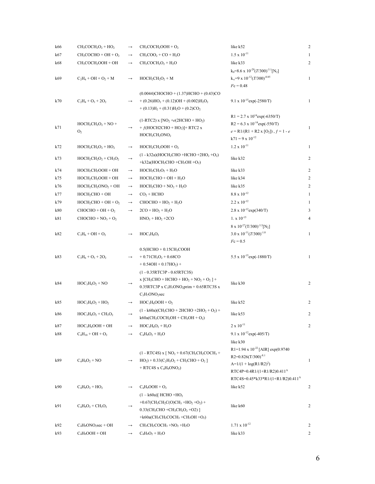| k66 | $CH_3COCH_2O_2 + HO_2$                     | $\longrightarrow$ | $CH3COCH2OOH + O2$                                                                                    | like k52                                                     | 2              |
|-----|--------------------------------------------|-------------------|-------------------------------------------------------------------------------------------------------|--------------------------------------------------------------|----------------|
| k67 | $CH3COCHO + OH + O2$                       | $\longrightarrow$ | $1.5 \times 10^{-11}$<br>$CH3COO2 + CO + H2O$                                                         |                                                              | $\mathbf{1}$   |
| k68 | CH <sub>3</sub> COCH <sub>2</sub> OOH + OH | $\longrightarrow$ | $CH3COCH2O2 + H2O$                                                                                    | like k33                                                     | 2              |
|     |                                            |                   |                                                                                                       | $k_0 = 8.6 \times 10^{-29} (T/300)^{-3.1} [N_2]$             |                |
| k69 | $C_2H_4 + OH + O_2 + M$                    | $\longrightarrow$ | $HOCH2CH2O2 + M$                                                                                      | $k_{\infty}$ =9 x 10 <sup>-12</sup> (T/300) <sup>-0.85</sup> | $\mathbf{1}$   |
|     |                                            |                   |                                                                                                       | $Fc = 0.48$                                                  |                |
|     |                                            |                   | $(0.0044)$ CHOCHO + $(1.37)$ HCHO + $(0.43)$ CO                                                       |                                                              |                |
| k70 | $C_2H_4 + O_3 + 2O_2$                      | $\longrightarrow$ | $+(0.26)HO2+(0.12)OH+(0.002)H2O2$                                                                     | $9.1 \times 10^{-15}$ exp(-2580/T)                           | $\mathbf{1}$   |
|     |                                            |                   | $+ (0.13)H2 + (0.31)H2O + (0.2)CO2$                                                                   |                                                              |                |
|     |                                            |                   |                                                                                                       | $R1 = 2.7 \times 10^{14} exp(-6350/T)$                       |                |
|     | $HOCH2CH2O2 + NO +$                        |                   | $(1-RTC2)$ x [NO <sub>2</sub> + $e(2HCHO + HO2)$ ]                                                    | $R2 = 6.3 \times 10^{-14} \exp(-550/T)$                      |                |
| k71 | O <sub>2</sub>                             | $\longrightarrow$ | + $f$ (HOCH2CHO + HO <sub>2</sub> )] + RTC2 x                                                         | $e = R1/(R1 + R2 \times [O_2])$ , $f = 1 - e$                | $\mathbf{1}$   |
|     |                                            |                   | $HOCH2CH2ONO2$                                                                                        | $k71 = 9 \times 10^{-12}$                                    |                |
| k72 | $HOCH2CH2O2 + HO2$                         | $\longrightarrow$ | $HOCH2CH2OOH + O2$                                                                                    | $1.2 \times 10^{-11}$                                        | 1              |
|     |                                            |                   | $(1 - k32a)(HOCH2CHO + HCHO +2HO2 +O2)$                                                               |                                                              |                |
| k73 | $HOCH2CH2O2 + CH3O2$                       | $\longrightarrow$ | $+k32a(HOCH2CHO +CH3OH +O2)$                                                                          | like k32                                                     | 2              |
| k74 | $HOCH2CH2OOH + OH$                         | $\longrightarrow$ | $HOCH2CH2O2 + H2O$                                                                                    | like k33                                                     | $\overline{c}$ |
| k75 | $HOCH2CH2OOH + OH$                         | $\longrightarrow$ | $HOCH2CHO + OH + H2O$                                                                                 | like k34                                                     | 2              |
| k76 | $HOCH2CH2ONO2 + OH$                        | $\longrightarrow$ | $HOCH2CHO + NO2 + H2O$                                                                                | like k35                                                     | 2              |
|     |                                            |                   |                                                                                                       | $8.8 \times 10^{-12}$                                        |                |
| k77 | $HOCH2CHO + OH$                            | $\longrightarrow$ | $CO2 + HCHO$                                                                                          |                                                              | 1              |
| k79 | $HOCH2CHO + OH + O2$                       | $\longrightarrow$ | $CHOCHO + HO2 + H2O$                                                                                  | $2.2 \times 10^{-12}$                                        | 1              |
| k80 | $CHOCHO + OH + O2$                         | $\longrightarrow$ | $2CO + HO2 + H2O$                                                                                     | $2.8 \times 10^{-12}$ exp(340/T)                             | 3              |
| k81 | $CHOCHO + NO3 + O2$                        |                   | $HNO3 + HO2 + 2CO$                                                                                    | $1. x 10^{-15}$                                              | $\overline{4}$ |
|     |                                            |                   |                                                                                                       | 8 x $10^{-27} (T/300)^{-3.5} [N_2]$                          |                |
| k82 | $C_3H_6 + OH + O_2$                        | $\rightarrow$     | $HOC3H6O2$                                                                                            | $3.0 \times 10^{-11} (T/300)^{-1.0}$                         | $\mathbf{1}$   |
|     |                                            |                   |                                                                                                       | $Fc = 0.5$                                                   |                |
|     |                                            |                   | $0.5$ (HCHO + $0.15$ CH <sub>3</sub> COOH                                                             |                                                              |                |
| k83 | $C_3H_6 + O_3 + 2O_2$                      | $\rightarrow$     | $+ 0.71CH3O2 + 0.68CO$                                                                                | 5.5 x $10^{-15}$ exp(-1880/T)                                | $\mathbf{1}$   |
|     |                                            |                   | $+ 0.54OH + 0.17HO2) +$                                                                               |                                                              |                |
|     |                                            |                   | (1 - 0.35RTC3P - 0.65RTC3S)                                                                           |                                                              |                |
| k84 | $HOC3H6O2 + NO$                            | $\longrightarrow$ | x [CH <sub>3</sub> CHO + HCHO + HO <sub>2</sub> + NO <sub>2</sub> + O <sub>2</sub> ] +                | like k30                                                     | $\overline{c}$ |
|     |                                            |                   | $0.35$ RTC3P x C <sub>3</sub> H <sub>7</sub> ONO <sub>2</sub> prim + 0.65RTC3S x                      |                                                              |                |
|     |                                            |                   | $C_3H_7ONO_2sec$                                                                                      |                                                              |                |
| k85 | $HOC3H6O2 + HO2$                           | $\longrightarrow$ | $HOC3H6OOH + O2$                                                                                      | like k52                                                     | 2              |
| k86 | $HOC3H6O2 + CH3O2$                         | $\rightarrow$     | $(1 - k60a)(CH_3CHO + 2HCHO + 2HO_2 + O_2) +$                                                         | like k53                                                     | $\overline{c}$ |
|     |                                            |                   | $k60a(CH_3COCH_2OH + CH_3OH + O_2)$                                                                   |                                                              |                |
| k87 | $HOC3H6OOH + OH$                           | $\rightarrow$     | $HOC3H6O2 + H2O$                                                                                      | $2 \times 10^{-11}$                                          | $\overline{c}$ |
| k88 | $C_4H_{10} + OH + O_2$                     | $\longrightarrow$ | $C_4H_9O_2 + H_2O$                                                                                    | 9.1 x $10^{-12}$ exp(-405/T)                                 |                |
|     |                                            |                   |                                                                                                       | like k30                                                     |                |
|     |                                            |                   | $(1 - RTC4S)$ x $[NO2 + 0.67(CH3CH2COCH3 +$                                                           | R <sub>1</sub> =1.94 x 10 <sup>-22</sup> [AIR] exp(0.9740    |                |
| k89 | $C_4H_9O_2 + NO$                           | $\longrightarrow$ | $HO_2$ ) + 0.33(C <sub>2</sub> H <sub>5</sub> O <sub>2</sub> + CH <sub>3</sub> CHO + O <sub>2</sub> ] | $R2=0.826(T/300)^{-8.1}$                                     | $\mathbf{1}$   |
|     |                                            |                   | $+$ RTC4S x C <sub>4</sub> H <sub>9</sub> ONO <sub>2</sub> )                                          | $A=1/(1 + log(R1/R2)^{2})$                                   |                |
|     |                                            |                   |                                                                                                       | RTC4P=0.4R1/(1+R1/R2)0.411 <sup>A</sup>                      |                |
|     |                                            |                   |                                                                                                       | RTC4S=0.45*k33*R1/(1+R1/R2)0.411 <sup>A</sup>                |                |
| k90 | $C_4H_9O_2 + HO_2$                         | $\rightarrow$     | $C_4H_9OOH + O_2$                                                                                     | like k52                                                     | 2              |
|     |                                            |                   | $(1 - k60a)$ [ HCHO +HO <sub>2</sub>                                                                  |                                                              |                |
| k91 | $C_4H_9O_2 + CH_3O_2$                      |                   | $+0.67$ (CH <sub>3</sub> CH <sub>2</sub> C(O)CH <sub>3</sub> +HO <sub>2</sub> +O <sub>2</sub> ) +     | like k60                                                     | 2              |
|     |                                            |                   | $0.33$ (CH <sub>3</sub> CHO +CH <sub>3</sub> CH <sub>2</sub> O <sub>2</sub> +O2)]                     |                                                              |                |
|     |                                            |                   | $+k60a(CH_3CH_2COCH_3 + CH_3OH +O_2)$                                                                 |                                                              |                |
| k92 | $C_4H_9ONO_2sec + OH$                      | $\rightarrow$     | $CH3CH2COCH3 + NO2 + H2O$                                                                             | $1.71 \times 10^{-12}$                                       | 2              |
| k93 | $C_4H_9OOH + OH$                           | $\rightarrow$     | $C_4H_9O_2 + H_2O$                                                                                    | like k33                                                     | 2              |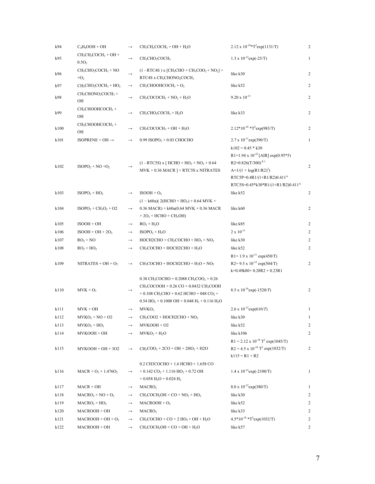| k94  | $C_4H_9OOH + OH$                               | $\longrightarrow$ | $CH3CH2COCH3 + OH + H2O$                                                                                                                                                                                                                                                                                 | $2.12 \times 10^{-18} * T^2 exp(1131/T)$                                                                                                                                                                             | $\overline{2}$ |
|------|------------------------------------------------|-------------------|----------------------------------------------------------------------------------------------------------------------------------------------------------------------------------------------------------------------------------------------------------------------------------------------------------|----------------------------------------------------------------------------------------------------------------------------------------------------------------------------------------------------------------------|----------------|
| k95  | $CH3CH2COCH3 + OH +$<br>0.5O <sub>2</sub>      | $\longrightarrow$ | CH <sub>3</sub> CHO <sub>2</sub> COCH <sub>3</sub>                                                                                                                                                                                                                                                       | 1.3 x $10^{-12}$ exp(-25/T)                                                                                                                                                                                          | $\mathbf{1}$   |
| k96  | $CH3CHO2COCH3 + NO$<br>$+O2$                   |                   | $(1 - RTC4S)$ x [CH <sub>3</sub> CHO + CH <sub>3</sub> COO <sub>2</sub> + NO <sub>2</sub> ] +<br>RTC4S x CH <sub>3</sub> CHONO <sub>2</sub> COCH <sub>3</sub>                                                                                                                                            | like k30                                                                                                                                                                                                             |                |
| k97  | $CH3CHO2COCH3 + HO2$                           | $\longrightarrow$ | $CH_3CHOOHCOCH_3 + O_2$                                                                                                                                                                                                                                                                                  | like k52                                                                                                                                                                                                             | $\overline{c}$ |
| k98  | $CH3CHONO2 COCH3 +$<br>OH                      | $\longrightarrow$ | $CH3COCOCH3 + NO2 + H2O$                                                                                                                                                                                                                                                                                 | $9.20 \times 10^{-13}$                                                                                                                                                                                               | $\overline{c}$ |
| k99  | CH <sub>3</sub> CHOOHCOCH <sub>3</sub> +<br>OН | $\longrightarrow$ | $CH3CHO2COCH3 + H2O$                                                                                                                                                                                                                                                                                     | like k33                                                                                                                                                                                                             | $\overline{c}$ |
| k100 | CH <sub>3</sub> CHOOHCOCH <sub>3</sub> +<br>OH | $\longrightarrow$ | $CH3COCOCH3 + OH + H2O$                                                                                                                                                                                                                                                                                  | $2.12*10^{-18} * T^2 \exp(983/T)$                                                                                                                                                                                    | $\overline{2}$ |
| k101 | ISOPRENE + OH $\rightarrow$                    | $\longrightarrow$ | 0.99 ISOPO <sub>2</sub> + 0.03 CHOCHO                                                                                                                                                                                                                                                                    | $2.7 \times 10^{-11}$ exp(390/T)                                                                                                                                                                                     | $\mathbf{1}$   |
| k102 | $ISOPO2 + NO +O2$                              |                   | $(1 - RTC5S)$ x [ HCHO + HO <sub>2</sub> + NO <sub>2</sub> + 0.64<br>$MVK + 0.36 MACR$ ] + RTC5S x NITRATES                                                                                                                                                                                              | $k102 = 0.45 * k30$<br>R1=1.94 x $10^{-22}$ [AIR] exp(0.95*5)<br>R2= $0.826(T/300)^{-8.1}$<br>$A=1/(1 + log(R1/R2)^{2})$<br>RTC5P=0.4R1/(1+R1/R2)0.411 <sup>A</sup><br>RTC5S=0.45*k30*R1/(1+R1/R2)0.411 <sup>A</sup> | $\overline{2}$ |
| k103 | $ISOPO2 + HO2$                                 | $\longrightarrow$ | $ISOOH + O2$                                                                                                                                                                                                                                                                                             | like k52                                                                                                                                                                                                             | 2              |
|      |                                                |                   | $(1 - k60a)(2(HCHO + HO2) + 0.64 MVK +$                                                                                                                                                                                                                                                                  |                                                                                                                                                                                                                      |                |
| k104 | $ISOPO2 + CH3O2 + O2$                          | $\longrightarrow$ | $0.36$ MACR) + $k60a(0.64$ MVK + 0.36 MACR<br>$+2O2 + HCHO + CH3OH)$                                                                                                                                                                                                                                     | like k60                                                                                                                                                                                                             | 2              |
| k105 | $ISOOH + OH$                                   | $\longrightarrow$ | $RO2 + H2O$                                                                                                                                                                                                                                                                                              | like k85                                                                                                                                                                                                             | 2              |
| k106 | $ISOOH + OH + 2O2$                             | $\longrightarrow$ | $ISOPO2 + H2O$                                                                                                                                                                                                                                                                                           | $2 \times 10^{-11}$                                                                                                                                                                                                  | 2              |
| k107 | $RO2 + NO$                                     | $\longrightarrow$ | $HOCH2CHO + CH3COCHO + HO2 + NO2$                                                                                                                                                                                                                                                                        | like k30                                                                                                                                                                                                             | $\overline{2}$ |
| k108 | $RO2 + HO2$                                    | $\longrightarrow$ | CH <sub>3</sub> COCHO + HOCH2CHO + H <sub>2</sub> O                                                                                                                                                                                                                                                      | like k52                                                                                                                                                                                                             | 2              |
| k109 | NITRATES + OH + $O_2$                          | $\longrightarrow$ | $CH_3COCHO + HOCH2CHO + H_2O + NO_2$                                                                                                                                                                                                                                                                     | $R1 = 1.9 \times 10^{-11} \exp(450/T)$<br>R2= $9.5 \times 10^{-12}$ exp(504/T)<br>$k=0.49k80+0.28R2+0.23R1$                                                                                                          | $\overline{c}$ |
| k110 | $MVK + O_3$                                    |                   | 0.38 CH <sub>3</sub> COCHO + 0.2088 CH <sub>3</sub> COO <sub>2</sub> + 0.26<br>CH <sub>3</sub> COCOOH + 0.26 CO + 0.0432 CH <sub>3</sub> COOH<br>$+$ 0.108 CH <sub>3</sub> CHO + 0.62 HCHO + 048 CO <sub>2</sub> +<br>$0.54$ HO <sub>2</sub> + 0.1008 OH + 0.048 H <sub>2</sub> + 0.116 H <sub>2</sub> O | $8.5 \times 10^{-16} \exp(-1520/T)$                                                                                                                                                                                  | $\overline{2}$ |
| k111 | $MVK + OH$                                     | $\longrightarrow$ | MVKO <sub>2</sub>                                                                                                                                                                                                                                                                                        | $2.6 \times 10^{-12}$ exp(610/T)                                                                                                                                                                                     | $\mathbf{1}$   |
| k112 | $MVKO2 + NO + O2$                              | $\rightarrow$     | $CH_3COO2 + HOCH2CHO + NO_2$                                                                                                                                                                                                                                                                             | like k30                                                                                                                                                                                                             | $\mathbf{1}$   |
| k113 | $MVKO2 + HO2$                                  | $\longrightarrow$ | $MVKOOH + O2$                                                                                                                                                                                                                                                                                            | like k52                                                                                                                                                                                                             | 2              |
| k114 | MVKOOH + OH                                    | $\longrightarrow$ | $MVKO2 + H2O$                                                                                                                                                                                                                                                                                            | like k106                                                                                                                                                                                                            | 2              |
| k115 | $MVKOOH + OH + 3O2$                            | $\longrightarrow$ | $CH3COO2 + 2CO + OH + 2HO2 + H2O$                                                                                                                                                                                                                                                                        | $R1 = 2.12 \times 10^{-18}$ T <sup>2</sup> exp(1045/T)<br>$R2 = 4.5 \times 10^{-18}$ T <sup>2</sup> exp(1032/T)<br>$k115 = R1 + R2$                                                                                  | 2              |
| k116 | $MACR + O_3 + 1.476O_2$                        | $\rightarrow$     | 0.2 СНЗСОСНО + 1.6 НСНО + 1.658 СО<br>$+0.142 \text{ CO}_2 + 1.116 \text{ HO}_2 + 0.72 \text{ OH}$<br>$+0.058$ H <sub>2</sub> O + 0.024 H <sub>2</sub>                                                                                                                                                   | $1.4 \times 10^{-15}$ exp(-2100/T)                                                                                                                                                                                   | 1              |
| k117 | $MACR + OH$                                    | $\longrightarrow$ | MACRO <sub>2</sub>                                                                                                                                                                                                                                                                                       | $8.0 \times 10^{-12}$ exp(380/T)                                                                                                                                                                                     | $\mathbf{1}$   |
| k118 | $MACRO2 + NO + O2$                             | $\longrightarrow$ | $CH_3COCH_2OH + CO + NO_2 + HO_2$                                                                                                                                                                                                                                                                        | like k30                                                                                                                                                                                                             | $\overline{2}$ |
| k119 | $MACRO2 + HO2$                                 | $\longrightarrow$ | $MACROOH + O2$                                                                                                                                                                                                                                                                                           | like k52                                                                                                                                                                                                             | 2              |
| k120 | MACROOH + OH                                   | $\longrightarrow$ | MACRO <sub>2</sub>                                                                                                                                                                                                                                                                                       | like k33                                                                                                                                                                                                             | 2              |
| k121 | $MACROOH + OH + O2$                            | $\longrightarrow$ | $CH3COCHO + CO + 2 HO2 + OH + H2O$                                                                                                                                                                                                                                                                       | $4.5*10^{-18} * T^2 \exp(1032/T)$                                                                                                                                                                                    | 2              |
| k122 | $MACROOH + OH$                                 | $\longrightarrow$ | $CH3COCH2OH + CO + OH + H2O$                                                                                                                                                                                                                                                                             | like k57                                                                                                                                                                                                             | $\overline{2}$ |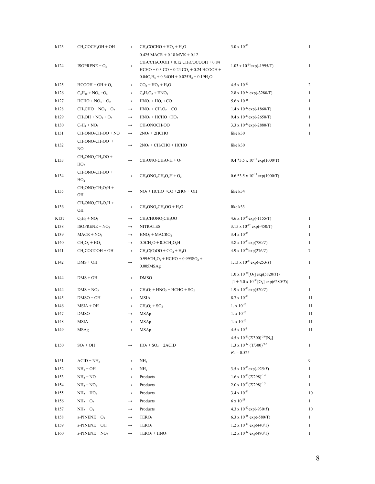| k123 | CH <sub>3</sub> COCH <sub>2</sub> OH + OH | $\longrightarrow$ | $CH3COCHO + HO2 + H2O$                                | $3.0 \times 10^{-12}$                                         | $\mathbf{1}$   |
|------|-------------------------------------------|-------------------|-------------------------------------------------------|---------------------------------------------------------------|----------------|
|      |                                           |                   | $0.425$ MACR + $0.18$ MVK + $0.12$                    |                                                               |                |
| k124 | ISOPRENE + $O_3$                          | $\longrightarrow$ | $CH2CCH3COOH + 0.12 CH3COCOOH + 0.84$                 | $1.03 \times 10^{-14}$ exp(-1995/T)                           | $\mathbf{1}$   |
|      |                                           |                   | $HCHO + 0.3 CO + 0.24 CO2 + 0.24 HCOOH +$             |                                                               |                |
|      |                                           |                   | $0.04C_3H_6 + 0.34OH + 0.025H_2 + 0.19H_2O$           |                                                               |                |
| k125 | $HCOOH + OH + O2$                         | $\longrightarrow$ | $CO_2 + HO_2 + H_2O$                                  | $4.5 \times 10^{-13}$                                         | $\overline{2}$ |
| k126 | $C_4H_{10} + NO_3 + O_2$                  | $\longrightarrow$ | $C_4H_9O_2 + HNO_3$                                   | $2.8 \times 10^{-12}$ exp(-3280/T)                            | 1              |
| k127 | $HCHO + NO3 + O2$                         | $\longrightarrow$ | $HNO3 + HO2 + CO$                                     | $5.6 \times 10^{-16}$                                         | 1              |
| k128 | $CH3CHO + NO3 + O2$                       | $\longrightarrow$ | $HNO3 + CH3O2 + CO$                                   | $1.4 \times 10^{-12}$ exp(-1860/T)                            | $\mathbf{1}$   |
| k129 | $CH3OH + NO3 + O2$                        | $\longrightarrow$ | $HNO3 + HCHO + HO2$                                   | 9.4 x $10^{-13}$ exp(-2650/T)                                 | 1              |
| k130 | $C_2H_4 + NO_3$                           | $\longrightarrow$ | CH <sub>2</sub> ONOCH <sub>2</sub> OO                 | $3.3 \times 10^{-12}$ exp(-2880/T)                            | 1              |
| k131 | $CH2ONO2CH2OO + NO$                       | $\longrightarrow$ | $2NO2 + 2HCHO$                                        | like k30                                                      | $\mathbf{1}$   |
| k132 | $CH2ONO2CH2OO +$<br>NO                    | $\longrightarrow$ | $2NO2 + CH3CHO + HCHO$                                | like k30                                                      |                |
|      | $CH2ONO2CH2OO +$                          |                   |                                                       |                                                               |                |
| k133 | HO <sub>2</sub>                           | $\longrightarrow$ | $CH2ONO2CH2O2H + O2$                                  | $0.4*3.5 \times 10^{-15} \exp(1000/T)$                        |                |
| k134 | $CH2ONO2CH2OO +$<br>HO <sub>2</sub>       | $\rightarrow$     | $CH2ONO2CH2O2H + O2$                                  | $0.6*3.5 \times 10^{-15} \exp(1000/T)$                        |                |
| k135 | $CH2ONO2CH2O2H +$<br>OН                   | $\rightarrow$     | $NO2 + HCHO + CO +2HO2 + OH$                          | like k34                                                      |                |
| k136 | $CH2ONO2CH2O2H +$<br>OН                   | $\longrightarrow$ | $CH2ONO2CH2OO + H2O$                                  | like k33                                                      |                |
| K137 | $C_3H_6 + NO_3$                           | $\longrightarrow$ | CH <sub>3</sub> CHONO <sub>2</sub> CH <sub>2</sub> OO | $4.6 \times 10^{-13}$ exp(-1155/T)                            | $\mathbf{1}$   |
| k138 | $ISOPRENE + NO3$                          | $\longrightarrow$ | <b>NITRATES</b>                                       | 3.15 x $10^{-12}$ exp(-450/T)                                 | 1              |
| k139 | $MACR + NO3$                              | $\longrightarrow$ | $HNO3 + MACRO2$                                       | $3.4 \times 10^{-15}$                                         | 1              |
| k140 | $CH3O2 + HO2$                             | $\longrightarrow$ | $0.5CH2O + 0.5CH3O2H$                                 | 3.8 x $10^{-13}$ exp(780/T)                                   | 1              |
| k141 | CH <sub>3</sub> COCOOH + OH               | $\longrightarrow$ | $CH_3C(O)OO + CO_2 + H_2O$                            | $4.9 \times 10^{-14} \exp(276/T)$                             | 7              |
|      |                                           |                   | $0.995CH3O2 + HCHO + 0.995SO2 +$                      |                                                               |                |
| k142 | $DMS + OH$                                | $\longrightarrow$ | 0.005MSAg                                             | $1.13 \times 10^{-11} \exp(-253/T)$                           | $\mathbf{1}$   |
| k144 | $DMS + OH$                                | $\longrightarrow$ | <b>DMSO</b>                                           | $1.0 \times 10^{-39}$ [O <sub>2</sub> ] exp(5820/T) /         | $\mathbf{1}$   |
|      |                                           |                   |                                                       | ${1 + 5.0 \times 10^{-30}[O_2] \exp(6280/T)}$                 |                |
| k144 | $DMS + NO3$                               | $\longrightarrow$ | $CH3O2 + HNO3 + HCHO + SO2$                           | $1.9 \times 10^{-13} \exp(520/T)$                             | $\mathbf{1}$   |
| k145 | $DMSO + OH$                               | $\longrightarrow$ | <b>MSIA</b>                                           | $8.7 \times 10^{-11}$                                         | 11             |
| k146 | $MSIA + OH$                               | $\longrightarrow$ | $CH_3O_2 + SO_2$                                      | $1. x 10^{-10}$                                               | 11             |
| k147 | <b>DMSO</b>                               | $\longrightarrow$ | MSAp                                                  | $1. x 10^{-10}$                                               | 11             |
| k148 | MSIA                                      |                   | MSAp                                                  | $1. x 10^{-10}$                                               | 11             |
| k149 | <b>MSAg</b>                               |                   | MSAp                                                  | $4.5 \times 10^{-5}$                                          | 11             |
|      |                                           |                   |                                                       | 4.5 x $10^{-31} (T/300)^{-3.9}$ [N <sub>2</sub> ]             |                |
| k150 | $SO_2 + OH$                               |                   | $HO2 + SO4 + 2ACID$                                   | $1.3 \times 10^{-12}$ (T/300) <sup>-0.7</sup><br>$Fc = 0.525$ | $\mathbf{1}$   |
| k151 | $ACID + NH3$                              | $\rightarrow$     | NH <sub>4</sub>                                       |                                                               | 9              |
| k152 | $NH3 + OH$                                |                   | NH <sub>2</sub>                                       | 3.5 x $10^{-12}$ exp(-925/T)                                  | $\mathbf{1}$   |
| k153 | $NH2 + NO$                                | $\longrightarrow$ | Products                                              | $1.6 \times 10^{-11} (T/298)^{-1.4}$                          | $\mathbf{1}$   |
| k154 | $NH2 + NO2$                               | $\rightarrow$     | Products                                              | $2.0 \times 10^{-11} (T/298)^{-1.3}$                          | $\mathbf{1}$   |
| k155 | $NH2 + HO2$                               | $\rightarrow$     | Products                                              | $3.4 \times 10^{-11}$                                         | 10             |
| k156 | $NH_2 + O_2$                              | $\longrightarrow$ | Products                                              | $6 \times 10^{-21}$                                           | $\mathbf{1}$   |
| k157 | $NH_2 + O_3$                              | $\longrightarrow$ | Products                                              | 4.3 x $10^{-12}$ exp(-930/T)                                  | 10             |
| k158 | a-PINENE + $O_3$                          |                   | TERO <sub>2</sub>                                     | 6.3 x $10^{-16}$ exp(-580/T)                                  | 1              |
| k159 | a-PINENE + OH                             | $\rightarrow$     | TERO <sub>2</sub>                                     | $1.2 \times 10^{-11} \exp(440/T)$                             | $\mathbf{1}$   |
| k160 | $a-PINENE + NO3$                          | $\rightarrow$     | $TERO2 + HNO3$                                        | $1.2 \times 10^{-12}$ exp(490/T)                              | $\mathbf{1}$   |
|      |                                           |                   |                                                       |                                                               |                |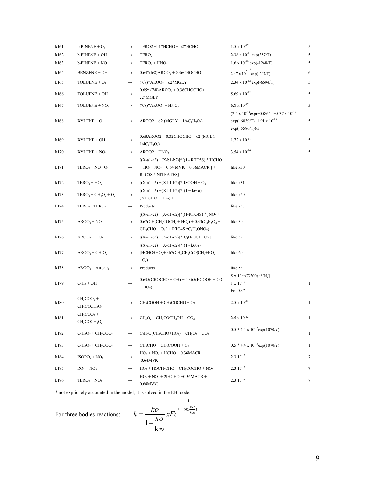| k161 | $b$ -PINENE + $O_3$                  | $\longrightarrow$ | TERO2 +b1*HCHO + b2*HCHO                                                                                                               | $1.5 \times 10^{-17}$                                       | 5            |
|------|--------------------------------------|-------------------|----------------------------------------------------------------------------------------------------------------------------------------|-------------------------------------------------------------|--------------|
| k162 | b-PINENE + OH                        | $\longrightarrow$ | TERO <sub>2</sub>                                                                                                                      | $2.38 \times 10^{-11} \exp(357/T)$                          |              |
| k163 | $b$ -PINENE + NO <sub>3</sub>        | $\longrightarrow$ | $TERO2 + HNO3$                                                                                                                         | $1.6 \times 10^{-10}$ exp(-1248/T)                          |              |
| k164 | <b>BENZENE + OH</b>                  | $\longrightarrow$ | $0.64*(6/8)AROO2 + 0.36CHOCHO$                                                                                                         | $2.47 \times 10^{-12}$ exp(-207/T)                          | 6            |
| k165 | TOLUENE + $O_3$                      | $\longrightarrow$ | $(7/8)*AROO2 + c2*MGLY$                                                                                                                | 2.34 x $10^{-12}$ exp(-6694/T)                              | 5            |
| k166 | TOLUENE + OH                         | $\longrightarrow$ | $0.65*$ (7/8)AROO <sub>2</sub> + 0.36CHOCHO+<br>c2*MGLY                                                                                | $5.69 \times 10^{-12}$                                      | 5            |
| k167 | TOLUENE + $NO3$                      | $\longrightarrow$ | $(7/8)*AROO2 + HNO3$                                                                                                                   | $6.8 \times 10^{-17}$                                       | 5            |
|      |                                      |                   |                                                                                                                                        | $(2.4 \times 10^{-13} \exp(-5586/T) + 5.37 \times 10^{-13}$ |              |
| k168 | $XYLENE + O3$                        | $\longrightarrow$ | $AROO2 + d2 (MGLY + 1/4C4H9O2)$                                                                                                        | $\exp(-6039/T)+1.91 \times 10^{-13}$                        | 5            |
|      |                                      |                   |                                                                                                                                        | $exp(-5586/T)/3$                                            |              |
| k169 | XYLENE + OH                          | $\rightarrow$     | $0.68$ AROO2 + $0.32$ CHOCHO + d2 (MGLY +<br>$1/4C_4H_9O_2$                                                                            | $1.72 \times 10^{-11}$                                      | 5            |
| k170 | $XYLENE + NO3$                       | $\longrightarrow$ | $AROO2 + HNO3$                                                                                                                         | $3.54 \times 10^{-16}$                                      | 5            |
|      |                                      |                   | $[(X-a1-a2)+(X-b1-b2)]$ * $[(1 - RTC5S)$ *(HCHO                                                                                        |                                                             |              |
| k171 | $TERO2 + NO + O2$                    | $\longrightarrow$ | $+ HO2+ NO2 + 0.64 MVK + 0.36MACR$ ] +<br>RTC5S * NITRATES]                                                                            | like k30                                                    |              |
| k172 | $TERO2 + HO2$                        | $\longrightarrow$ | $[(X-a1-a2)+(X-b1-b2)]$ * $[ISOOH + O2]$                                                                                               | like k31                                                    |              |
| k173 | $TERO2 + CH3O2 + O2$                 | $\longrightarrow$ | $[(X-a1-a2)+(X-b1-b2)]$ * $[(1 - k60a)$<br>$(2(HCHO + HO2) +$                                                                          | like k60                                                    |              |
| k174 | TERO <sub>2</sub> +TERO <sub>2</sub> | $\longrightarrow$ | Products                                                                                                                               | like k53                                                    |              |
|      |                                      |                   | $[(X-c1-c2)+(X-d1-d2)]$ * $[(1-RTC4S)$ * $[NO2 +$                                                                                      |                                                             |              |
| k175 | $AROO2 + NO$                         | $\longrightarrow$ | $0.67$ (CH <sub>3</sub> CH <sub>2</sub> COCH <sub>3</sub> + HO <sub>2</sub> ) + $0.33$ (C <sub>2</sub> H <sub>5</sub> O <sub>2</sub> + | like 30                                                     |              |
|      |                                      |                   | $CH_3CHO + O_2$ ] + RTC4S *C <sub>4</sub> H <sub>9</sub> ONO <sub>2</sub> )                                                            |                                                             |              |
| k176 | $AROO2 + HO2$                        | $\longrightarrow$ | $[(X-c1-c2)+(X-d1-d2)]$ <sup>*</sup> $[C_4H_9OOH+O2]$                                                                                  | like 52                                                     |              |
|      |                                      |                   | $[(X-c1-c2)+(X-d1-d2)]*[1 - k60a]$                                                                                                     |                                                             |              |
| k177 | $AROO2 + CH3O2$                      | $\longrightarrow$ | [HCHO+HO <sub>2</sub> +0.67(CH <sub>3</sub> CH <sub>2</sub> C(O)CH <sub>3</sub> +HO <sub>2</sub>                                       | like 60                                                     |              |
|      |                                      |                   | $+O2$ )                                                                                                                                |                                                             |              |
| k178 | $AROO2 + AROO2$                      | $\longrightarrow$ | Products                                                                                                                               | like 53                                                     |              |
|      |                                      |                   | $0.635$ (CHOCHO + OH) + 0.365(HCOOH + CO                                                                                               | $5 \times 10^{-30} (T/300)^{-1.5}$ [N <sub>2</sub> ]        |              |
| k179 | $C_2H_2 + OH$                        |                   | $+ HO2)$                                                                                                                               | $1 \times 10^{-12}$<br>$Fe=0.37$                            | $\mathbf{1}$ |
|      | $CH_3COO_2 +$                        |                   |                                                                                                                                        |                                                             |              |
| k180 | $CH_3COCH_2O_2$                      | $\longrightarrow$ | $CH3COOH + CH3COCHO + O2$                                                                                                              | $2.5 \times 10^{-12}$                                       | $\mathbf{1}$ |
|      | $CH_3COO_2 +$                        |                   |                                                                                                                                        |                                                             |              |
| k181 | $CH3COCH2O2$                         |                   | $\rm CH_3O_2 + CH_3COCH_2OH + CO_2$                                                                                                    | $2.5 \ge 10^{-12}$                                          |              |
|      |                                      |                   |                                                                                                                                        | $0.5 * 4.4 \times 10^{-13}$ exp $(1070/T)$                  |              |
| k182 | $C_2H_5O_2 + CH_3COO_2$              | $\longrightarrow$ | $C_2H_5O(CH_3CHO+HO_2) + CH_3O_2 + CO_2$                                                                                               |                                                             | $\mathbf{1}$ |
| k183 | $C_2H_5O_2 + CH_3COO_2$              | $\longrightarrow$ | $CH3CHO + CH3COOH + O2$                                                                                                                | $0.5 * 4.4 \times 10^{-13}$ exp $(1070/T)$                  | $\mathbf{1}$ |
| k184 | $ISOPO2 + NO3$                       |                   | $HO_2 + NO_2 + HCHO + 0.36MACR +$                                                                                                      | $2.310^{-12}$                                               | 7            |
|      |                                      |                   | 0.64MVK                                                                                                                                |                                                             |              |
| k185 | $RO2 + NO3$                          |                   | $HO2 + HOCH2CHO + CH3COCHO + NO2$                                                                                                      | $2.310^{-12}$                                               | 7            |
| k186 | $TERO2 + NO3$                        |                   | $HO_2 + NO_2 + 2(HCHO + 0.36MACR +$                                                                                                    | $2.310^{-12}$                                               | 7            |
|      |                                      |                   | 0.64MVK)                                                                                                                               |                                                             |              |

\* not explicitely accounted in the model; it is solved in the EBI code.

For three bodies reactions:

$$
k = \frac{k\omega}{1 + \frac{k\omega}{k\infty}} x F c^{\frac{1}{1 + \log(\frac{k\omega}{k\infty})^2}}
$$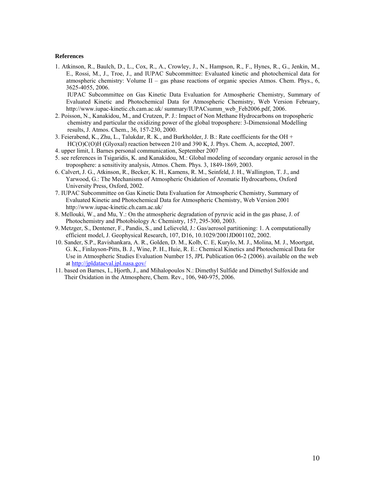#### **References**

1. Atkinson, R., Baulch, D., L., Cox, R., A., Crowley, J., N., Hampson, R., F., Hynes, R., G., Jenkin, M., E., Rossi, M., J., Troe, J., and IUPAC Subcommittee: Evaluated kinetic and photochemical data for atmospheric chemistry: Volume II – gas phase reactions of organic species Atmos. Chem. Phys.,  $6$ . 3625-4055, 2006. IUPAC Subcommittee on Gas Kinetic Data Evaluation for Atmospheric Chemistry, Summary of

Evaluated Kinetic and Photochemical Data for Atmospheric Chemistry, Web Version February, http://www.iupac-kinetic.ch.cam.ac.uk/ summary/IUPACsumm\_web\_Feb2006.pdf, 2006.

- 2. Poisson, N., Kanakidou, M., and Crutzen, P. J.: Impact of Non Methane Hydrocarbons on tropospheric chemistry and particular the oxidizing power of the global troposphere: 3-Dimensional Modelling results, J. Atmos. Chem., 36, 157-230, 2000.
- 3. Feierabend, K., Zhu, L., Talukdar, R. K., and Burkholder, J. B.: Rate coefficients for the OH  $+$ HC(O)C(O)H (Glyoxal) reaction between 210 and 390 K, J. Phys. Chem. A, accepted, 2007.
- 4. upper limit, I. Barnes personal communication, September 2007
- 5. see references in Tsigaridis, K. and Kanakidou, M.: Global modeling of secondary organic aerosol in the troposphere: a sensitivity analysis, Atmos. Chem. Phys. 3, 1849-1869, 2003.
- 6. Calvert, J. G., Atkinson, R., Becker, K. H., Kamens, R. M., Seinfeld, J. H., Wallington, T. J., and Yarwood, G.: The Mechanisms of Atmospheric Oxidation of Aromatic Hydrocarbons, Oxford University Press, Oxford, 2002.
- 7. IUPAC Subcommittee on Gas Kinetic Data Evaluation for Atmospheric Chemistry, Summary of Evaluated Kinetic and Photochemical Data for Atmospheric Chemistry, Web Version 2001 http://www.iupac-kinetic.ch.cam.ac.uk/
- 8. Mellouki, W., and Mu, Y.: On the atmospheric degradation of pyruvic acid in the gas phase, J. of Photochemistry and Photobiology A: Chemistry, 157, 295-300, 2003.
- 9. Metzger, S., Dentener, F., Pandis, S., and Lelieveld, J.: Gas/aerosol partitioning: 1. A computationally efficient model, J. Geophysical Research, 107, D16, 10.1029/2001JD001102, 2002.
- 10. Sander, S.P., Ravishankara, A. R., Golden, D. M., Kolb, C. E, Kurylo, M. J., Molina, M. J., Moortgat, G. K., Finlayson-Pitts, B. J., Wine, P. H., Huie, R. E.: Chemical Kinetics and Photochemical Data for Use in Atmospheric Studies Evaluation Number 15, JPL Publication 06-2 (2006). available on the web at<http://jpldataeval.jpl.nasa.gov/>
- 11. based on Barnes, I., Hjorth, J., and Mihalopoulos N.: Dimethyl Sulfide and Dimethyl Sulfoxide and Their Oxidation in the Atmosphere, Chem. Rev., 106, 940-975, 2006.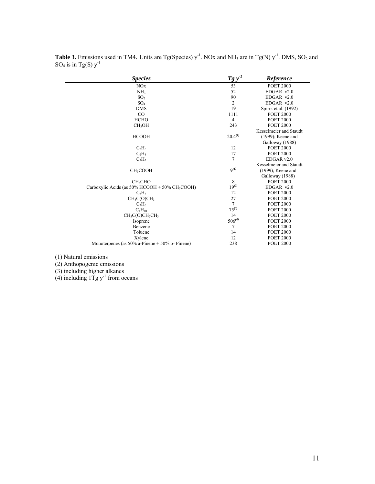| <i>Species</i>                                                   | $Tg y-1$       | Reference              |
|------------------------------------------------------------------|----------------|------------------------|
| NOx                                                              | 53             | <b>POET 2000</b>       |
| NH <sub>3</sub>                                                  | 52             | $EDGAR$ v2.0           |
| SO <sub>2</sub>                                                  | 90             | $EDGAR$ v2.0           |
| SO <sub>4</sub>                                                  | $\overline{2}$ | $EDGAR$ v2.0           |
| <b>DMS</b>                                                       | 19             | Spiro. et al. (1992)   |
| $\rm CO$                                                         | 1111           | <b>POET 2000</b>       |
| <b>HCHO</b>                                                      | 4              | <b>POET 2000</b>       |
| CH <sub>3</sub> OH                                               | 243            | <b>POET 2000</b>       |
|                                                                  |                | Kesselmeier and Staudt |
| <b>HCOOH</b>                                                     | $20.4^{(1)}$   | (1999); Keene and      |
|                                                                  |                | Galloway (1988)        |
| $C_2H_6$                                                         | 12             | <b>POET 2000</b>       |
| $C_2H_4$                                                         | 17             | <b>POET 2000</b>       |
| $C_2H_2$                                                         | $\overline{7}$ | EDGAR v2.0             |
|                                                                  |                | Kesselmeier and Staudt |
| CH <sub>3</sub> COOH                                             | $Q^{(1)}$      | $(1999)$ ; Keene and   |
|                                                                  |                | Galloway (1988)        |
| CH <sub>3</sub> CHO                                              | 8              | <b>POET 2000</b>       |
| Carboxylic Acids (as $50\%$ HCOOH + $50\%$ CH <sub>3</sub> COOH) | $19^{(2)}$     | $EDGAR$ v2.0           |
| $C_3H_8$                                                         | 12             | <b>POET 2000</b>       |
| CH <sub>3</sub> C(O)CH <sub>3</sub>                              | 27             | <b>POET 2000</b>       |
| $C_3H_6$                                                         | $\overline{7}$ | <b>POET 2000</b>       |
| $C_4H_{10}$                                                      | $75^{(3)}$     | <b>POET 2000</b>       |
| $CH_3C(O)CH_2CH_3$                                               | 14             | <b>POET 2000</b>       |
| Isoprene                                                         | $506^{(4)}$    | <b>POET 2000</b>       |
| Benzene                                                          | 7              | <b>POET 2000</b>       |
| Toluene                                                          | 14             | <b>POET 2000</b>       |
| Xylene                                                           | 12             | <b>POET 2000</b>       |
| Monoterpenes (as $50\%$ a-Pinene + $50\%$ b-Pinene)              | 238            | <b>POET 2000</b>       |
|                                                                  |                |                        |

**Table 3.** Emissions used in TM4. Units are Tg(Species)  $y^{-1}$ . NOx and NH<sub>3</sub> are in Tg(N)  $y^{-1}$ . DMS, SO<sub>2</sub> and  $SO_4$  is in Tg(S)  $y^{-1}$ 

(1) Natural emissions

(2) Anthopogenic emissions

(3) including higher alkanes

(4) including  $1Tg y^{-1}$  from oceans